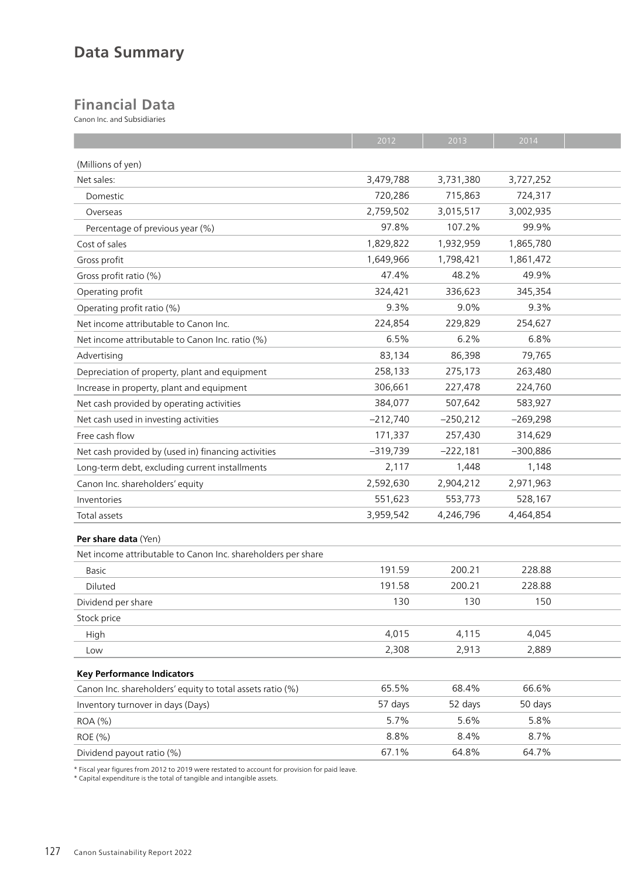## **Data Summary**

## **Financial Data**

Canon Inc. and Subsidiaries

|                                                              | 2012       | 2013       | 2014       |  |
|--------------------------------------------------------------|------------|------------|------------|--|
| (Millions of yen)                                            |            |            |            |  |
| Net sales:                                                   | 3,479,788  | 3,731,380  | 3,727,252  |  |
| Domestic                                                     | 720,286    | 715,863    | 724,317    |  |
| Overseas                                                     | 2,759,502  | 3,015,517  | 3,002,935  |  |
| Percentage of previous year (%)                              | 97.8%      | 107.2%     | 99.9%      |  |
| Cost of sales                                                | 1,829,822  | 1,932,959  | 1,865,780  |  |
| Gross profit                                                 | 1,649,966  | 1,798,421  | 1,861,472  |  |
| Gross profit ratio (%)                                       | 47.4%      | 48.2%      | 49.9%      |  |
| Operating profit                                             | 324,421    | 336,623    | 345,354    |  |
| Operating profit ratio (%)                                   | 9.3%       | $9.0\%$    | 9.3%       |  |
| Net income attributable to Canon Inc.                        | 224,854    | 229,829    | 254,627    |  |
| Net income attributable to Canon Inc. ratio (%)              | 6.5%       | 6.2%       | 6.8%       |  |
| Advertising                                                  | 83,134     | 86,398     | 79,765     |  |
| Depreciation of property, plant and equipment                | 258,133    | 275,173    | 263,480    |  |
| Increase in property, plant and equipment                    | 306,661    | 227,478    | 224,760    |  |
| Net cash provided by operating activities                    | 384,077    | 507,642    | 583,927    |  |
| Net cash used in investing activities                        | $-212,740$ | $-250,212$ | $-269,298$ |  |
| Free cash flow                                               | 171,337    | 257,430    | 314,629    |  |
| Net cash provided by (used in) financing activities          | $-319,739$ | $-222,181$ | $-300,886$ |  |
| Long-term debt, excluding current installments               | 2,117      | 1,448      | 1,148      |  |
| Canon Inc. shareholders' equity                              | 2,592,630  | 2,904,212  | 2,971,963  |  |
| Inventories                                                  | 551,623    | 553,773    | 528,167    |  |
| Total assets                                                 | 3,959,542  | 4,246,796  | 4,464,854  |  |
|                                                              |            |            |            |  |
| Per share data (Yen)                                         |            |            |            |  |
| Net income attributable to Canon Inc. shareholders per share |            |            |            |  |
| Basic                                                        | 191.59     | 200.21     | 228.88     |  |
| Diluted                                                      | 191.58     | 200.21     | 228.88     |  |
| Dividend per share                                           | 130        | 130        | 150        |  |
| Stock price                                                  |            |            |            |  |
| High                                                         | 4,015      | 4,115      | 4,045      |  |
| Low                                                          | 2,308      | 2,913      | 2,889      |  |
| <b>Key Performance Indicators</b>                            |            |            |            |  |
| Canon Inc. shareholders' equity to total assets ratio (%)    | 65.5%      | 68.4%      | 66.6%      |  |
| Inventory turnover in days (Days)                            | 57 days    | 52 days    | 50 days    |  |
| ROA (%)                                                      | 5.7%       | 5.6%       | 5.8%       |  |
| ROE (%)                                                      | 8.8%       | 8.4%       | 8.7%       |  |
| Dividend payout ratio (%)                                    | 67.1%      | 64.8%      | 64.7%      |  |
|                                                              |            |            |            |  |

\* Fiscal year figures from 2012 to 2019 were restated to account for provision for paid leave.

\* Capital expenditure is the total of tangible and intangible assets.